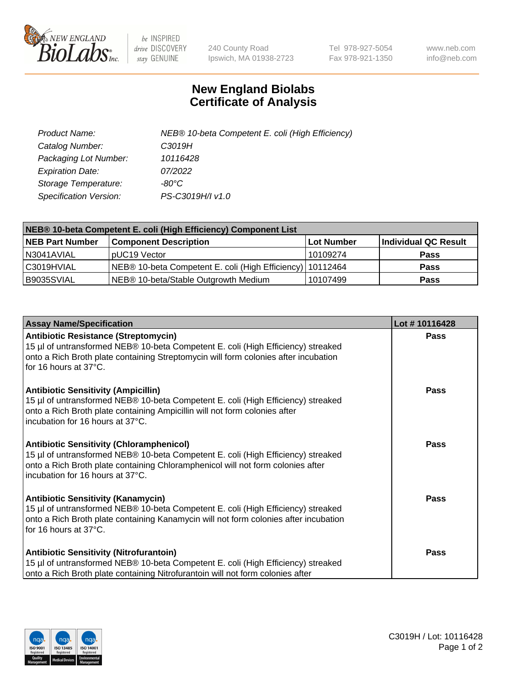

 $be$  INSPIRED drive DISCOVERY stay GENUINE

240 County Road Ipswich, MA 01938-2723 Tel 978-927-5054 Fax 978-921-1350 www.neb.com info@neb.com

## **New England Biolabs Certificate of Analysis**

| Product Name:                 | NEB® 10-beta Competent E. coli (High Efficiency) |
|-------------------------------|--------------------------------------------------|
| Catalog Number:               | C3019H                                           |
| Packaging Lot Number:         | 10116428                                         |
| <b>Expiration Date:</b>       | 07/2022                                          |
| Storage Temperature:          | -80°C                                            |
| <b>Specification Version:</b> | PS-C3019H/I v1.0                                 |

| NEB® 10-beta Competent E. coli (High Efficiency) Component List |                                                             |            |                      |  |
|-----------------------------------------------------------------|-------------------------------------------------------------|------------|----------------------|--|
| <b>NEB Part Number</b>                                          | <b>Component Description</b>                                | Lot Number | Individual QC Result |  |
| N3041AVIAL                                                      | pUC19 Vector                                                | 10109274   | <b>Pass</b>          |  |
| C3019HVIAL                                                      | NEB® 10-beta Competent E. coli (High Efficiency)   10112464 |            | <b>Pass</b>          |  |
| B9035SVIAL                                                      | NEB® 10-beta/Stable Outgrowth Medium                        | 10107499   | <b>Pass</b>          |  |

| <b>Assay Name/Specification</b>                                                                                                                                                                                                                            | Lot #10116428 |
|------------------------------------------------------------------------------------------------------------------------------------------------------------------------------------------------------------------------------------------------------------|---------------|
| <b>Antibiotic Resistance (Streptomycin)</b><br>15 µl of untransformed NEB® 10-beta Competent E. coli (High Efficiency) streaked<br>onto a Rich Broth plate containing Streptomycin will form colonies after incubation<br>for 16 hours at 37°C.            | Pass          |
| <b>Antibiotic Sensitivity (Ampicillin)</b><br>15 µl of untransformed NEB® 10-beta Competent E. coli (High Efficiency) streaked<br>onto a Rich Broth plate containing Ampicillin will not form colonies after<br>incubation for 16 hours at 37°C.           | Pass          |
| <b>Antibiotic Sensitivity (Chloramphenicol)</b><br>15 µl of untransformed NEB® 10-beta Competent E. coli (High Efficiency) streaked<br>onto a Rich Broth plate containing Chloramphenicol will not form colonies after<br>incubation for 16 hours at 37°C. | Pass          |
| <b>Antibiotic Sensitivity (Kanamycin)</b><br>15 µl of untransformed NEB® 10-beta Competent E. coli (High Efficiency) streaked<br>onto a Rich Broth plate containing Kanamycin will not form colonies after incubation<br>for 16 hours at 37°C.             | <b>Pass</b>   |
| <b>Antibiotic Sensitivity (Nitrofurantoin)</b><br>15 µl of untransformed NEB® 10-beta Competent E. coli (High Efficiency) streaked<br>onto a Rich Broth plate containing Nitrofurantoin will not form colonies after                                       | <b>Pass</b>   |